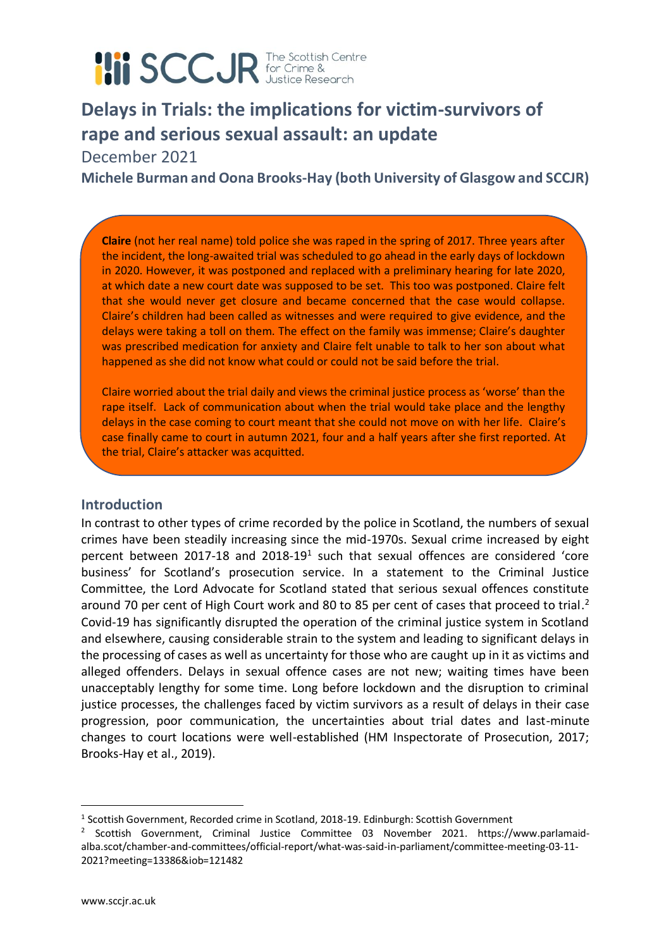# **III SCCJR** for Crime &

## **Delays in Trials: the implications for victim-survivors of rape and serious sexual assault: an update**

December 2021

**Michele Burman and Oona Brooks-Hay (both University of Glasgow and SCCJR)**

**Claire** (not her real name) told police she was raped in the spring of 2017. Three years after the incident, the long-awaited trial was scheduled to go ahead in the early days of lockdown in 2020. However, it was postponed and replaced with a preliminary hearing for late 2020, at which date a new court date was supposed to be set. This too was postponed. Claire felt that she would never get closure and became concerned that the case would collapse. Claire's children had been called as witnesses and were required to give evidence, and the delays were taking a toll on them. The effect on the family was immense; Claire's daughter was prescribed medication for anxiety and Claire felt unable to talk to her son about what happened as she did not know what could or could not be said before the trial.

Claire worried about the trial daily and views the criminal justice process as 'worse' than the rape itself. Lack of communication about when the trial would take place and the lengthy delays in the case coming to court meant that she could not move on with her life. Claire's case finally came to court in autumn 2021, four and a half years after she first reported. At the trial, Claire's attacker was acquitted.

#### **Introduction**

In contrast to other types of crime recorded by the police in Scotland, the numbers of sexual crimes have been steadily increasing since the mid-1970s. Sexual crime increased by eight percent between 2017-18 and 2018-19<sup>1</sup> such that sexual offences are considered 'core business' for Scotland's prosecution service. In a statement to the Criminal Justice Committee, the Lord Advocate for Scotland stated that serious sexual offences constitute around 70 per cent of High Court work and 80 to 85 per cent of cases that proceed to trial.<sup>2</sup> Covid-19 has significantly disrupted the operation of the criminal justice system in Scotland and elsewhere, causing considerable strain to the system and leading to significant delays in the processing of cases as well as uncertainty for those who are caught up in it as victims and alleged offenders. Delays in sexual offence cases are not new; waiting times have been unacceptably lengthy for some time. Long before lockdown and the disruption to criminal justice processes, the challenges faced by victim survivors as a result of delays in their case progression, poor communication, the uncertainties about trial dates and last-minute changes to court locations were well-established (HM Inspectorate of Prosecution, 2017; Brooks-Hay et al., 2019).

<sup>&</sup>lt;sup>1</sup> Scottish Government, Recorded crime in Scotland, 2018-19. Edinburgh: Scottish Government

<sup>&</sup>lt;sup>2</sup> Scottish Government, Criminal Justice Committee 03 November 2021. https://www.parlamaidalba.scot/chamber-and-committees/official-report/what-was-said-in-parliament/committee-meeting-03-11- 2021?meeting=13386&iob=121482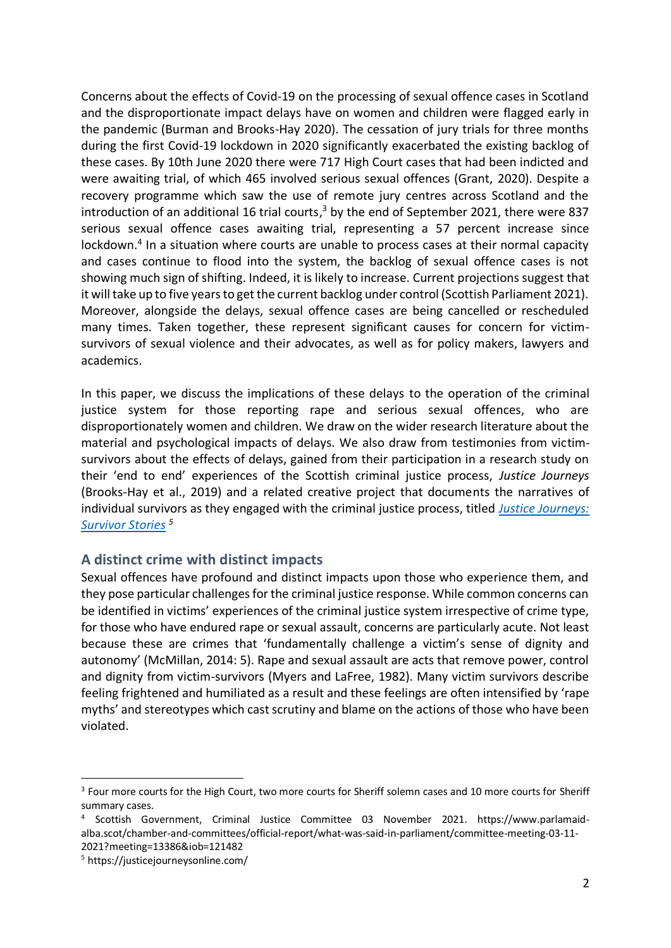Concerns about the effects of Covid-19 on the processing of sexual offence cases in Scotland and the disproportionate impact delays have on women and children were flagged early in the pandemic (Burman and Brooks-Hay 2020). The cessation of jury trials for three months during the first Covid-19 lockdown in 2020 significantly exacerbated the existing backlog of these cases. By 10th June 2020 there were 717 High Court cases that had been indicted and were awaiting trial, of which 465 involved serious sexual offences (Grant, 2020). Despite a recovery programme which saw the use of remote jury centres across Scotland and the introduction of an additional 16 trial courts,<sup>3</sup> by the end of September 2021, there were 837 serious sexual offence cases awaiting trial, representing a 57 percent increase since lockdown.<sup>4</sup> In a situation where courts are unable to process cases at their normal capacity and cases continue to flood into the system, the backlog of sexual offence cases is not showing much sign of shifting. Indeed, it is likely to increase. Current projections suggest that it will take up to five years to get the current backlog under control (Scottish Parliament 2021). Moreover, alongside the delays, sexual offence cases are being cancelled or rescheduled many times. Taken together, these represent significant causes for concern for victimsurvivors of sexual violence and their advocates, as well as for policy makers, lawyers and academics.

In this paper, we discuss the implications of these delays to the operation of the criminal justice system for those reporting rape and serious sexual offences, who are disproportionately women and children. We draw on the wider research literature about the material and psychological impacts of delays. We also draw from testimonies from victimsurvivors about the effects of delays, gained from their participation in a research study on their 'end to end' experiences of the Scottish criminal justice process, *Justice Journeys* (Brooks-Hay et al., 2019) and a related creative project that documents the narratives of individual survivors as they engaged with the criminal justice process, titled *[Justice Journeys:](https://justicejourneysonline.com/)  [Survivor Stories](https://justicejourneysonline.com/) <sup>5</sup>*

#### **A distinct crime with distinct impacts**

Sexual offences have profound and distinct impacts upon those who experience them, and they pose particular challenges for the criminal justice response. While common concerns can be identified in victims' experiences of the criminal justice system irrespective of crime type, for those who have endured rape or sexual assault, concerns are particularly acute. Not least because these are crimes that 'fundamentally challenge a victim's sense of dignity and autonomy' (McMillan, 2014: 5). Rape and sexual assault are acts that remove power, control and dignity from victim-survivors (Myers and LaFree, 1982). Many victim survivors describe feeling frightened and humiliated as a result and these feelings are often intensified by 'rape myths' and stereotypes which cast scrutiny and blame on the actions of those who have been violated.

<sup>&</sup>lt;sup>3</sup> Four more courts for the High Court, two more courts for Sheriff solemn cases and 10 more courts for Sheriff summary cases.

<sup>4</sup> Scottish Government, Criminal Justice Committee 03 November 2021. https://www.parlamaidalba.scot/chamber-and-committees/official-report/what-was-said-in-parliament/committee-meeting-03-11- 2021?meeting=13386&iob=121482

<sup>5</sup> https://justicejourneysonline.com/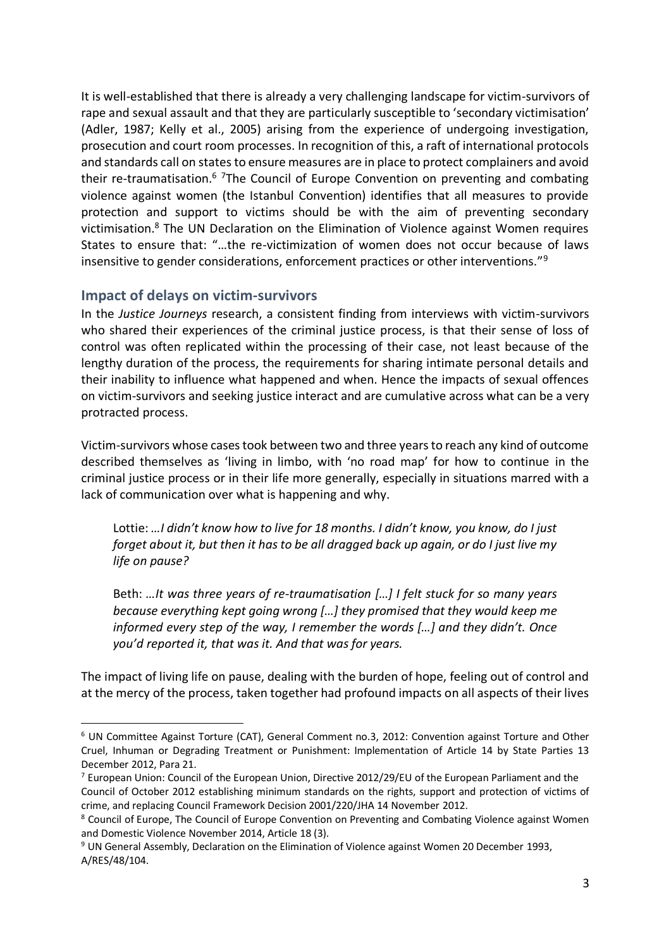It is well-established that there is already a very challenging landscape for victim-survivors of rape and sexual assault and that they are particularly susceptible to 'secondary victimisation' (Adler, 1987; Kelly et al., 2005) arising from the experience of undergoing investigation, prosecution and court room processes. In recognition of this, a raft of international protocols and standards call on states to ensure measures are in place to protect complainers and avoid their re-traumatisation.<sup>6</sup> <sup>7</sup>The Council of Europe Convention on preventing and combating violence against women (the Istanbul Convention) identifies that all measures to provide protection and support to victims should be with the aim of preventing secondary victimisation.<sup>8</sup> The UN Declaration on the Elimination of Violence against Women requires States to ensure that: "…the re-victimization of women does not occur because of laws insensitive to gender considerations, enforcement practices or other interventions."<sup>9</sup>

#### **Impact of delays on victim-survivors**

In the *Justice Journeys* research, a consistent finding from interviews with victim-survivors who shared their experiences of the criminal justice process, is that their sense of loss of control was often replicated within the processing of their case, not least because of the lengthy duration of the process, the requirements for sharing intimate personal details and their inability to influence what happened and when. Hence the impacts of sexual offences on victim-survivors and seeking justice interact and are cumulative across what can be a very protracted process.

Victim-survivors whose cases took between two and three years to reach any kind of outcome described themselves as 'living in limbo, with 'no road map' for how to continue in the criminal justice process or in their life more generally, especially in situations marred with a lack of communication over what is happening and why.

Lottie: *…I didn't know how to live for 18 months. I didn't know, you know, do I just forget about it, but then it has to be all dragged back up again, or do I just live my life on pause?* 

Beth: *…It was three years of re-traumatisation […] I felt stuck for so many years because everything kept going wrong […] they promised that they would keep me informed every step of the way, I remember the words […] and they didn't. Once you'd reported it, that was it. And that was for years.* 

The impact of living life on pause, dealing with the burden of hope, feeling out of control and at the mercy of the process, taken together had profound impacts on all aspects of their lives

<sup>6</sup> UN Committee Against Torture (CAT), General Comment no.3, 2012: Convention against Torture and Other Cruel, Inhuman or Degrading Treatment or Punishment: Implementation of Article 14 by State Parties 13 December 2012, Para 21.

 $<sup>7</sup>$  European Union: Council of the European Union, Directive 2012/29/EU of the European Parliament and the</sup> Council of October 2012 establishing minimum standards on the rights, support and protection of victims of crime, and replacing Council Framework Decision 2001/220/JHA 14 November 2012.

<sup>8</sup> Council of Europe, The Council of Europe Convention on Preventing and Combating Violence against Women and Domestic Violence November 2014, Article 18 (3).

<sup>9</sup> UN General Assembly, Declaration on the Elimination of Violence against Women 20 December 1993, A/RES/48/104.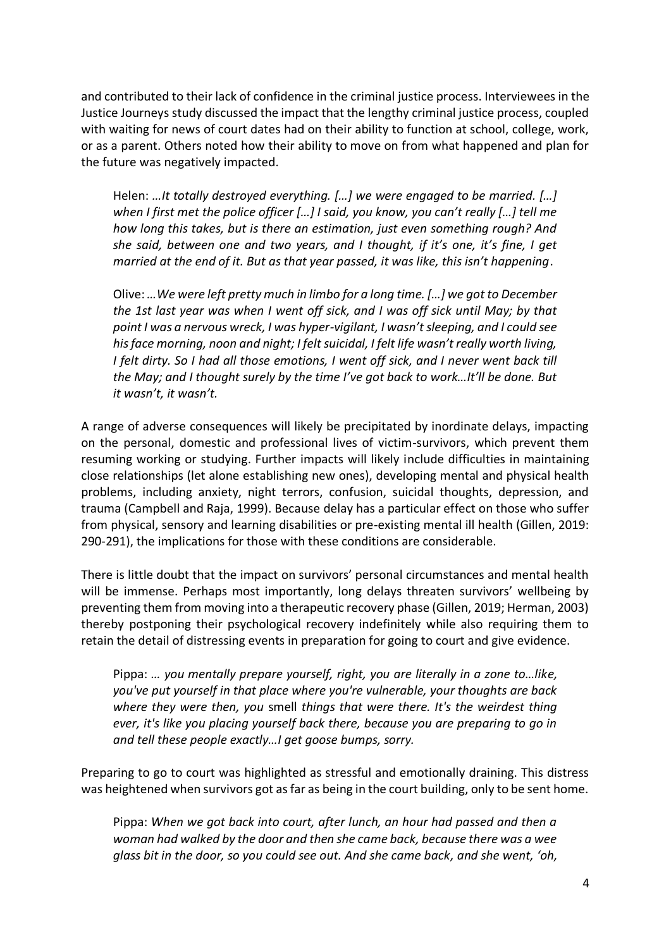and contributed to their lack of confidence in the criminal justice process. Interviewees in the Justice Journeys study discussed the impact that the lengthy criminal justice process, coupled with waiting for news of court dates had on their ability to function at school, college, work, or as a parent. Others noted how their ability to move on from what happened and plan for the future was negatively impacted.

Helen: *…It totally destroyed everything. […] we were engaged to be married. […] when I first met the police officer […] I said, you know, you can't really […] tell me how long this takes, but is there an estimation, just even something rough? And she said, between one and two years, and I thought, if it's one, it's fine, I get married at the end of it. But as that year passed, it was like, this isn't happening*.

Olive: *…We were left pretty much in limbo for a long time. […] we got to December the 1st last year was when I went off sick, and I was off sick until May; by that point I was a nervous wreck, I was hyper-vigilant, I wasn't sleeping, and I could see his face morning, noon and night; I felt suicidal, I felt life wasn't really worth living, I felt dirty. So I had all those emotions, I went off sick, and I never went back till the May; and I thought surely by the time I've got back to work…It'll be done. But it wasn't, it wasn't.*

A range of adverse consequences will likely be precipitated by inordinate delays, impacting on the personal, domestic and professional lives of victim-survivors, which prevent them resuming working or studying. Further impacts will likely include difficulties in maintaining close relationships (let alone establishing new ones), developing mental and physical health problems, including anxiety, night terrors, confusion, suicidal thoughts, depression, and trauma (Campbell and Raja, 1999). Because delay has a particular effect on those who suffer from physical, sensory and learning disabilities or pre-existing mental ill health (Gillen, 2019: 290-291), the implications for those with these conditions are considerable.

There is little doubt that the impact on survivors' personal circumstances and mental health will be immense. Perhaps most importantly, long delays threaten survivors' wellbeing by preventing them from moving into a therapeutic recovery phase (Gillen, 2019; Herman, 2003) thereby postponing their psychological recovery indefinitely while also requiring them to retain the detail of distressing events in preparation for going to court and give evidence.

Pippa: *… you mentally prepare yourself, right, you are literally in a zone to…like, you've put yourself in that place where you're vulnerable, your thoughts are back where they were then, you* smell *things that were there. It's the weirdest thing ever, it's like you placing yourself back there, because you are preparing to go in and tell these people exactly…I get goose bumps, sorry.*

Preparing to go to court was highlighted as stressful and emotionally draining. This distress was heightened when survivors got as far as being in the court building, only to be sent home.

Pippa: *When we got back into court, after lunch, an hour had passed and then a woman had walked by the door and then she came back, because there was a wee glass bit in the door, so you could see out. And she came back, and she went, 'oh,*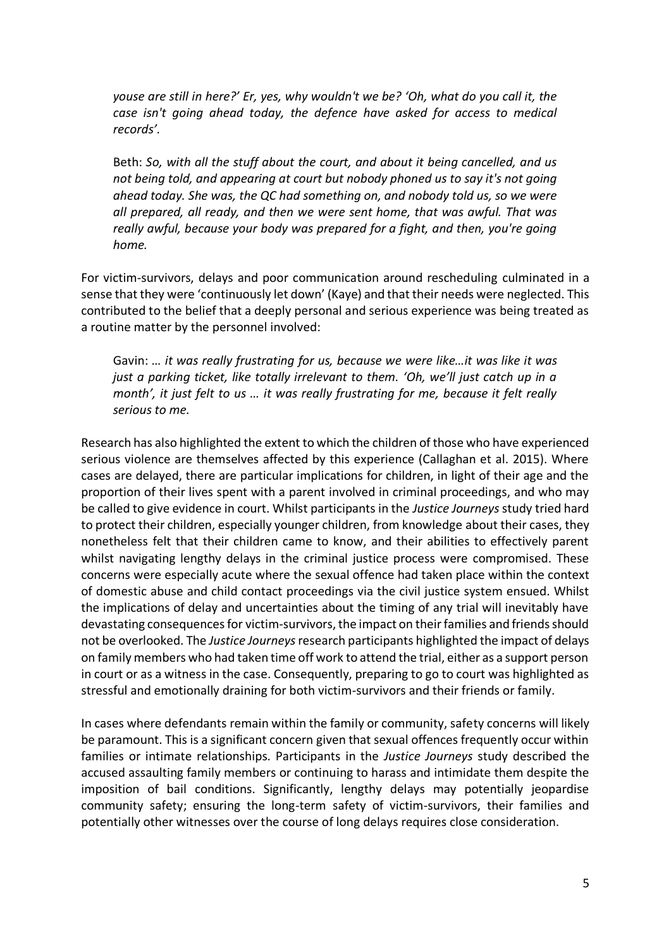*youse are still in here?' Er, yes, why wouldn't we be? 'Oh, what do you call it, the case isn't going ahead today, the defence have asked for access to medical records'.* 

Beth: *So, with all the stuff about the court, and about it being cancelled, and us not being told, and appearing at court but nobody phoned us to say it's not going ahead today. She was, the QC had something on, and nobody told us, so we were all prepared, all ready, and then we were sent home, that was awful. That was really awful, because your body was prepared for a fight, and then, you're going home.*

For victim-survivors, delays and poor communication around rescheduling culminated in a sense that they were 'continuously let down' (Kaye) and that their needs were neglected. This contributed to the belief that a deeply personal and serious experience was being treated as a routine matter by the personnel involved:

Gavin: *… it was really frustrating for us, because we were like…it was like it was just a parking ticket, like totally irrelevant to them. 'Oh, we'll just catch up in a month', it just felt to us … it was really frustrating for me, because it felt really serious to me.*

Research has also highlighted the extent to which the children of those who have experienced serious violence are themselves affected by this experience (Callaghan et al. 2015). Where cases are delayed, there are particular implications for children, in light of their age and the proportion of their lives spent with a parent involved in criminal proceedings, and who may be called to give evidence in court. Whilst participants in the *Justice Journeys* study tried hard to protect their children, especially younger children, from knowledge about their cases, they nonetheless felt that their children came to know, and their abilities to effectively parent whilst navigating lengthy delays in the criminal justice process were compromised. These concerns were especially acute where the sexual offence had taken place within the context of domestic abuse and child contact proceedings via the civil justice system ensued. Whilst the implications of delay and uncertainties about the timing of any trial will inevitably have devastating consequences for victim-survivors, the impact on their families and friends should not be overlooked. The *Justice Journeys*research participants highlighted the impact of delays on family members who had taken time off work to attend the trial, either as a support person in court or as a witness in the case. Consequently, preparing to go to court was highlighted as stressful and emotionally draining for both victim-survivors and their friends or family.

In cases where defendants remain within the family or community, safety concerns will likely be paramount. This is a significant concern given that sexual offences frequently occur within families or intimate relationships. Participants in the *Justice Journeys* study described the accused assaulting family members or continuing to harass and intimidate them despite the imposition of bail conditions. Significantly, lengthy delays may potentially jeopardise community safety; ensuring the long-term safety of victim-survivors, their families and potentially other witnesses over the course of long delays requires close consideration.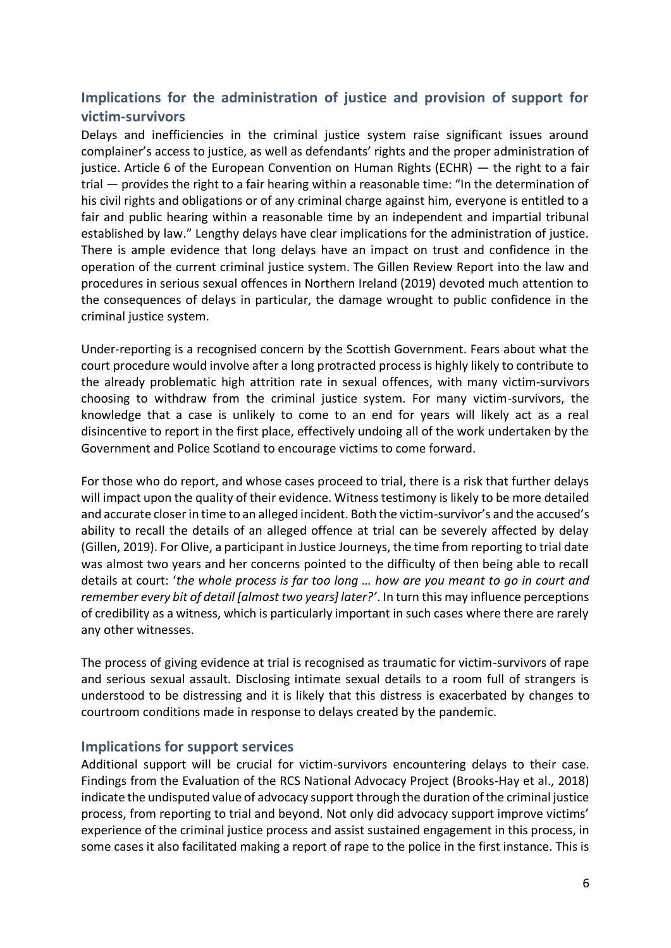### **Implications for the administration of justice and provision of support for victim-survivors**

Delays and inefficiencies in the criminal justice system raise significant issues around complainer's access to justice, as well as defendants' rights and the proper administration of justice. Article 6 of the European Convention on Human Rights (ECHR) — the right to a fair trial — provides the right to a fair hearing within a reasonable time: "In the determination of his civil rights and obligations or of any criminal charge against him, everyone is entitled to a fair and public hearing within a reasonable time by an independent and impartial tribunal established by law." Lengthy delays have clear implications for the administration of justice. There is ample evidence that long delays have an impact on trust and confidence in the operation of the current criminal justice system. The Gillen Review Report into the law and procedures in serious sexual offences in Northern Ireland (2019) devoted much attention to the consequences of delays in particular, the damage wrought to public confidence in the criminal justice system.

Under-reporting is a recognised concern by the Scottish Government. Fears about what the court procedure would involve after a long protracted process is highly likely to contribute to the already problematic high attrition rate in sexual offences, with many victim-survivors choosing to withdraw from the criminal justice system. For many victim-survivors, the knowledge that a case is unlikely to come to an end for years will likely act as a real disincentive to report in the first place, effectively undoing all of the work undertaken by the Government and Police Scotland to encourage victims to come forward.

For those who do report, and whose cases proceed to trial, there is a risk that further delays will impact upon the quality of their evidence. Witness testimony is likely to be more detailed and accurate closer in time to an alleged incident. Both the victim-survivor's and the accused's ability to recall the details of an alleged offence at trial can be severely affected by delay (Gillen, 2019). For Olive, a participant in Justice Journeys, the time from reporting to trial date was almost two years and her concerns pointed to the difficulty of then being able to recall details at court: '*the whole process is far too long … how are you meant to go in court and remember every bit of detail [almost two years] later?'*. In turn this may influence perceptions of credibility as a witness, which is particularly important in such cases where there are rarely any other witnesses.

The process of giving evidence at trial is recognised as traumatic for victim-survivors of rape and serious sexual assault. Disclosing intimate sexual details to a room full of strangers is understood to be distressing and it is likely that this distress is exacerbated by changes to courtroom conditions made in response to delays created by the pandemic.

#### **Implications for support services**

Additional support will be crucial for victim-survivors encountering delays to their case. Findings from the Evaluation of the RCS National Advocacy Project (Brooks-Hay et al., 2018) indicate the undisputed value of advocacy support through the duration of the criminal justice process, from reporting to trial and beyond. Not only did advocacy support improve victims' experience of the criminal justice process and assist sustained engagement in this process, in some cases it also facilitated making a report of rape to the police in the first instance. This is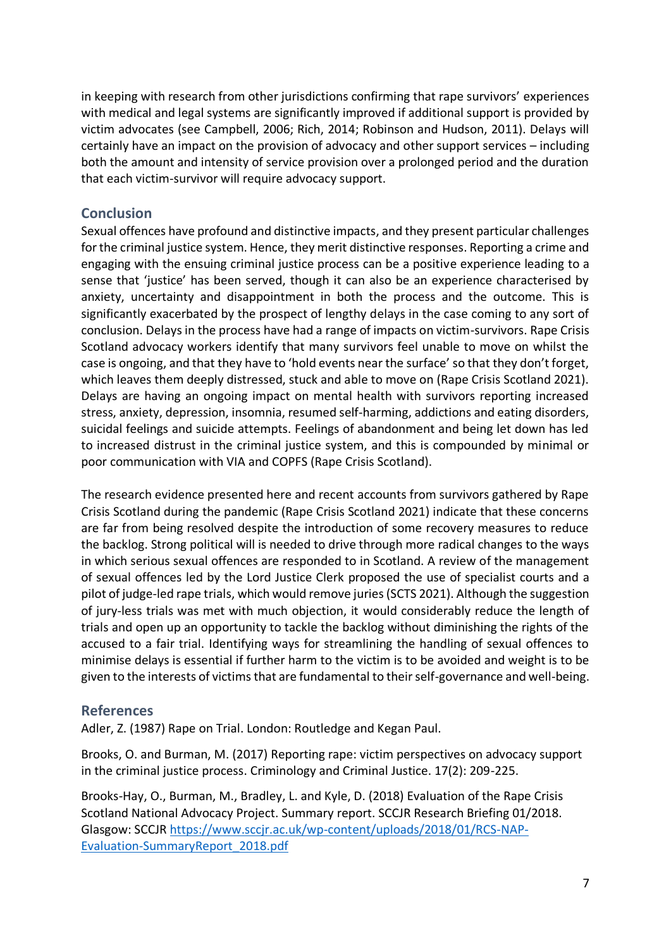in keeping with research from other jurisdictions confirming that rape survivors' experiences with medical and legal systems are significantly improved if additional support is provided by victim advocates (see Campbell, 2006; Rich, 2014; Robinson and Hudson, 2011). Delays will certainly have an impact on the provision of advocacy and other support services – including both the amount and intensity of service provision over a prolonged period and the duration that each victim-survivor will require advocacy support.

#### **Conclusion**

Sexual offences have profound and distinctive impacts, and they present particular challenges for the criminal justice system. Hence, they merit distinctive responses. Reporting a crime and engaging with the ensuing criminal justice process can be a positive experience leading to a sense that 'justice' has been served, though it can also be an experience characterised by anxiety, uncertainty and disappointment in both the process and the outcome. This is significantly exacerbated by the prospect of lengthy delays in the case coming to any sort of conclusion. Delays in the process have had a range of impacts on victim-survivors. Rape Crisis Scotland advocacy workers identify that many survivors feel unable to move on whilst the case is ongoing, and that they have to 'hold events near the surface' so that they don't forget, which leaves them deeply distressed, stuck and able to move on (Rape Crisis Scotland 2021). Delays are having an ongoing impact on mental health with survivors reporting increased stress, anxiety, depression, insomnia, resumed self-harming, addictions and eating disorders, suicidal feelings and suicide attempts. Feelings of abandonment and being let down has led to increased distrust in the criminal justice system, and this is compounded by minimal or poor communication with VIA and COPFS (Rape Crisis Scotland).

The research evidence presented here and recent accounts from survivors gathered by Rape Crisis Scotland during the pandemic (Rape Crisis Scotland 2021) indicate that these concerns are far from being resolved despite the introduction of some recovery measures to reduce the backlog. Strong political will is needed to drive through more radical changes to the ways in which serious sexual offences are responded to in Scotland. A review of the management of sexual offences led by the Lord Justice Clerk proposed the use of specialist courts and a pilot of judge-led rape trials, which would remove juries (SCTS 2021). Although the suggestion of jury-less trials was met with much objection, it would considerably reduce the length of trials and open up an opportunity to tackle the backlog without diminishing the rights of the accused to a fair trial. Identifying ways for streamlining the handling of sexual offences to minimise delays is essential if further harm to the victim is to be avoided and weight is to be given to the interests of victims that are fundamental to their self-governance and well-being.

#### **References**

Adler, Z. (1987) Rape on Trial. London: Routledge and Kegan Paul.

Brooks, O. and Burman, M. (2017) Reporting rape: victim perspectives on advocacy support in the criminal justice process. Criminology and Criminal Justice. 17(2): 209-225.

Brooks-Hay, O., Burman, M., Bradley, L. and Kyle, D. (2018) Evaluation of the Rape Crisis Scotland National Advocacy Project. Summary report. SCCJR Research Briefing 01/2018. Glasgow: SCCJ[R https://www.sccjr.ac.uk/wp-content/uploads/2018/01/RCS-NAP-](https://www.sccjr.ac.uk/wp-content/uploads/2018/01/RCS-NAP-Evaluation-SummaryReport_2018.pdf)[Evaluation-SummaryReport\\_2018.pdf](https://www.sccjr.ac.uk/wp-content/uploads/2018/01/RCS-NAP-Evaluation-SummaryReport_2018.pdf)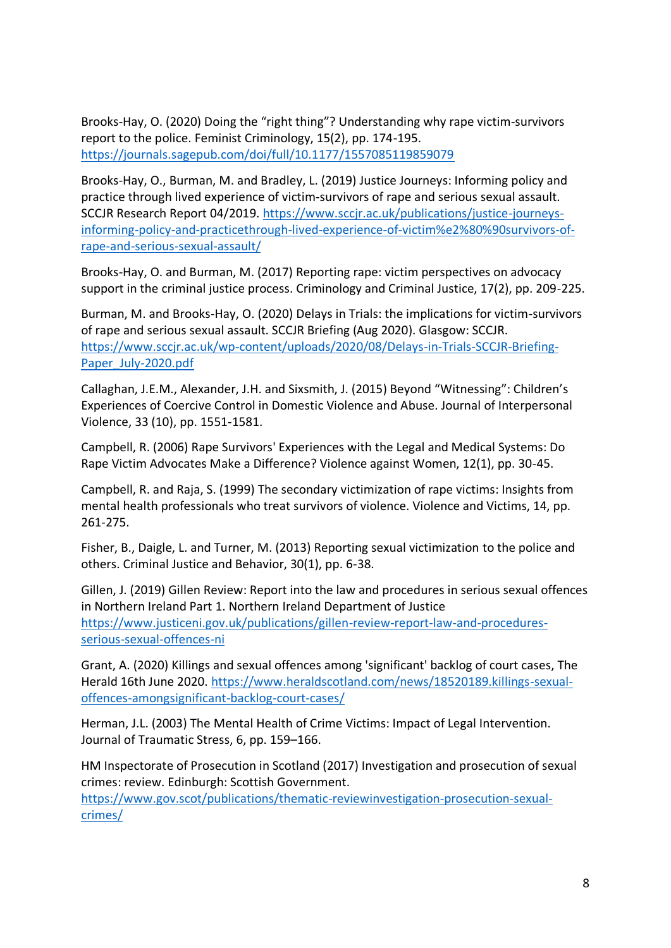Brooks-Hay, O. (2020) Doing the "right thing"? Understanding why rape victim-survivors report to the police. Feminist Criminology, 15(2), pp. 174-195. <https://journals.sagepub.com/doi/full/10.1177/1557085119859079>

Brooks-Hay, O., Burman, M. and Bradley, L. (2019) Justice Journeys: Informing policy and practice through lived experience of victim‐survivors of rape and serious sexual assault. SCCJR Research Report 04/2019. [https://www.sccjr.ac.uk/publications/justice-journeys](https://www.sccjr.ac.uk/publications/justice-journeys-informing-policy-and-practicethrough-lived-experience-of-victim%e2%80%90survivors-of-rape-and-serious-sexual-assault/)[informing-policy-and-practicethrough-lived-experience-of-victim%e2%80%90survivors-of](https://www.sccjr.ac.uk/publications/justice-journeys-informing-policy-and-practicethrough-lived-experience-of-victim%e2%80%90survivors-of-rape-and-serious-sexual-assault/)[rape-and-serious-sexual-assault/](https://www.sccjr.ac.uk/publications/justice-journeys-informing-policy-and-practicethrough-lived-experience-of-victim%e2%80%90survivors-of-rape-and-serious-sexual-assault/)

Brooks-Hay, O. and Burman, M. (2017) Reporting rape: victim perspectives on advocacy support in the criminal justice process. Criminology and Criminal Justice, 17(2), pp. 209-225.

Burman, M. and Brooks-Hay, O. (2020) Delays in Trials: the implications for victim-survivors of rape and serious sexual assault. SCCJR Briefing (Aug 2020). Glasgow: SCCJR. [https://www.sccjr.ac.uk/wp-content/uploads/2020/08/Delays-in-Trials-SCCJR-Briefing-](https://www.sccjr.ac.uk/wp-content/uploads/2020/08/Delays-in-Trials-SCCJR-Briefing-Paper_July-2020.pdf)[Paper\\_July-2020.pdf](https://www.sccjr.ac.uk/wp-content/uploads/2020/08/Delays-in-Trials-SCCJR-Briefing-Paper_July-2020.pdf)

Callaghan, J.E.M., Alexander, J.H. and Sixsmith, J. (2015) Beyond "Witnessing": Children's Experiences of Coercive Control in Domestic Violence and Abuse. Journal of Interpersonal Violence, 33 (10), pp. 1551-1581.

Campbell, R. (2006) Rape Survivors' Experiences with the Legal and Medical Systems: Do Rape Victim Advocates Make a Difference? Violence against Women, 12(1), pp. 30-45.

Campbell, R. and Raja, S. (1999) The secondary victimization of rape victims: Insights from mental health professionals who treat survivors of violence. Violence and Victims, 14, pp. 261-275.

Fisher, B., Daigle, L. and Turner, M. (2013) Reporting sexual victimization to the police and others. Criminal Justice and Behavior, 30(1), pp. 6-38.

Gillen, J. (2019) Gillen Review: Report into the law and procedures in serious sexual offences in Northern Ireland Part 1. Northern Ireland Department of Justice [https://www.justiceni.gov.uk/publications/gillen-review-report-law-and-procedures](https://www.justiceni.gov.uk/publications/gillen-review-report-law-and-procedures-serious-sexual-offences-ni)[serious-sexual-offences-ni](https://www.justiceni.gov.uk/publications/gillen-review-report-law-and-procedures-serious-sexual-offences-ni)

Grant, A. (2020) Killings and sexual offences among 'significant' backlog of court cases, The Herald 16th June 2020. [https://www.heraldscotland.com/news/18520189.killings-sexual](https://www.heraldscotland.com/news/18520189.killings-sexual-offences-amongsignificant-backlog-court-cases/)[offences-amongsignificant-backlog-court-cases/](https://www.heraldscotland.com/news/18520189.killings-sexual-offences-amongsignificant-backlog-court-cases/)

Herman, J.L. (2003) The Mental Health of Crime Victims: Impact of Legal Intervention. Journal of Traumatic Stress, 6, pp. 159–166.

HM Inspectorate of Prosecution in Scotland (2017) Investigation and prosecution of sexual crimes: review. Edinburgh: Scottish Government.

[https://www.gov.scot/publications/thematic-reviewinvestigation-prosecution-sexual](https://www.gov.scot/publications/thematic-reviewinvestigation-prosecution-sexual-crimes/)[crimes/](https://www.gov.scot/publications/thematic-reviewinvestigation-prosecution-sexual-crimes/)